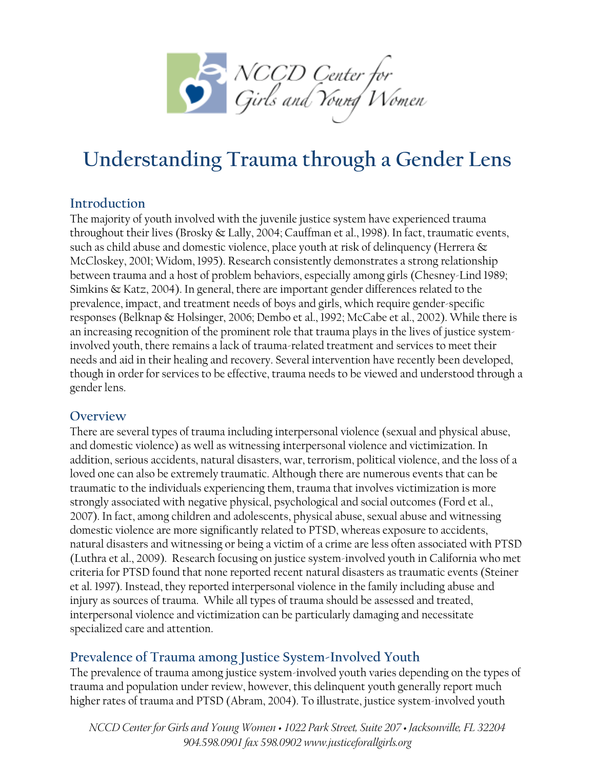

# **Understanding Trauma through a Gender Lens**

## **Introduction**

The majority of youth involved with the juvenile justice system have experienced trauma throughout their lives (Brosky & Lally, 2004; Cauffman et al., 1998). In fact, traumatic events, such as child abuse and domestic violence, place youth at risk of delinquency (Herrera & McCloskey, 2001; Widom, 1995). Research consistently demonstrates a strong relationship between trauma and a host of problem behaviors, especially among girls (Chesney-Lind 1989; Simkins & Katz, 2004). In general, there are important gender differences related to the prevalence, impact, and treatment needs of boys and girls, which require gender-specific responses (Belknap & Holsinger, 2006; Dembo et al., 1992; McCabe et al., 2002). While there is an increasing recognition of the prominent role that trauma plays in the lives of justice systeminvolved youth, there remains a lack of trauma-related treatment and services to meet their needs and aid in their healing and recovery. Several intervention have recently been developed, though in order for services to be effective, trauma needs to be viewed and understood through a gender lens.

### **Overview**

There are several types of trauma including interpersonal violence (sexual and physical abuse, and domestic violence) as well as witnessing interpersonal violence and victimization. In addition, serious accidents, natural disasters, war, terrorism, political violence, and the loss of a loved one can also be extremely traumatic. Although there are numerous events that can be traumatic to the individuals experiencing them, trauma that involves victimization is more strongly associated with negative physical, psychological and social outcomes (Ford et al., 2007). In fact, among children and adolescents, physical abuse, sexual abuse and witnessing domestic violence are more significantly related to PTSD, whereas exposure to accidents, natural disasters and witnessing or being a victim of a crime are less often associated with PTSD (Luthra et al., 2009). Research focusing on justice system-involved youth in California who met criteria for PTSD found that none reported recent natural disasters as traumatic events (Steiner et al. 1997). Instead, they reported interpersonal violence in the family including abuse and injury as sources of trauma. While all types of trauma should be assessed and treated, interpersonal violence and victimization can be particularly damaging and necessitate specialized care and attention.

## **Prevalence of Trauma among Justice System-Involved Youth**

The prevalence of trauma among justice system-involved youth varies depending on the types of trauma and population under review, however, this delinquent youth generally report much higher rates of trauma and PTSD (Abram, 2004). To illustrate, justice system-involved youth

*NCCD Center for Girls and Young Women • 1022 Park Street, Suite 207 • Jacksonville, FL 32204 904.598.0901 fax 598.0902 www.justiceforallgirls.org*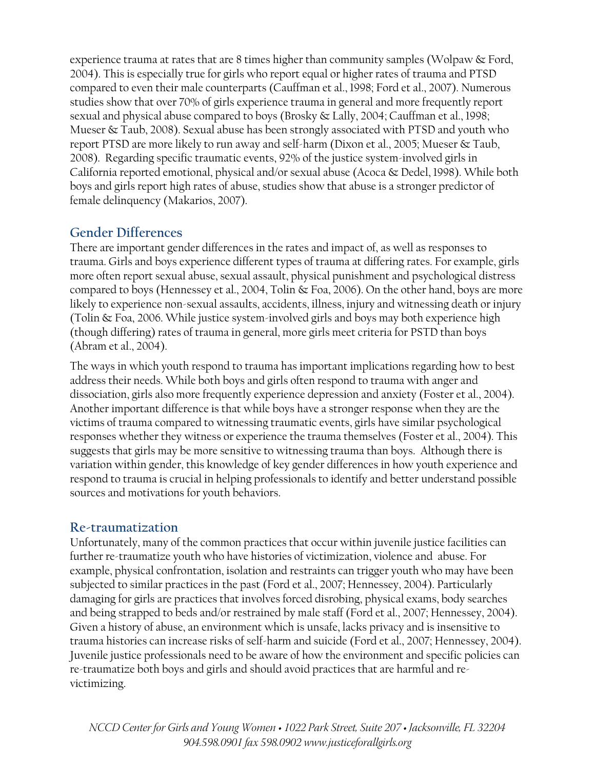experience trauma at rates that are 8 times higher than community samples (Wolpaw & Ford, 2004). This is especially true for girls who report equal or higher rates of trauma and PTSD compared to even their male counterparts (Cauffman et al., 1998; Ford et al., 2007). Numerous studies show that over 70% of girls experience trauma in general and more frequently report sexual and physical abuse compared to boys (Brosky & Lally, 2004; Cauffman et al., 1998; Mueser & Taub, 2008). Sexual abuse has been strongly associated with PTSD and youth who report PTSD are more likely to run away and self-harm (Dixon et al., 2005; Mueser & Taub, 2008). Regarding specific traumatic events, 92% of the justice system-involved girls in California reported emotional, physical and/or sexual abuse (Acoca & Dedel, 1998). While both boys and girls report high rates of abuse, studies show that abuse is a stronger predictor of female delinquency (Makarios, 2007).

# **Gender Differences**

There are important gender differences in the rates and impact of, as well as responses to trauma. Girls and boys experience different types of trauma at differing rates. For example, girls more often report sexual abuse, sexual assault, physical punishment and psychological distress compared to boys (Hennessey et al., 2004, Tolin & Foa, 2006). On the other hand, boys are more likely to experience non-sexual assaults, accidents, illness, injury and witnessing death or injury (Tolin & Foa, 2006. While justice system-involved girls and boys may both experience high (though differing) rates of trauma in general, more girls meet criteria for PSTD than boys (Abram et al., 2004).

The ways in which youth respond to trauma has important implications regarding how to best address their needs. While both boys and girls often respond to trauma with anger and dissociation, girls also more frequently experience depression and anxiety (Foster et al., 2004). Another important difference is that while boys have a stronger response when they are the victims of trauma compared to witnessing traumatic events, girls have similar psychological responses whether they witness or experience the trauma themselves (Foster et al., 2004). This suggests that girls may be more sensitive to witnessing trauma than boys. Although there is variation within gender, this knowledge of key gender differences in how youth experience and respond to trauma is crucial in helping professionals to identify and better understand possible sources and motivations for youth behaviors.

## **Re-traumatization**

Unfortunately, many of the common practices that occur within juvenile justice facilities can further re-traumatize youth who have histories of victimization, violence and abuse. For example, physical confrontation, isolation and restraints can trigger youth who may have been subjected to similar practices in the past (Ford et al., 2007; Hennessey, 2004). Particularly damaging for girls are practices that involves forced disrobing, physical exams, body searches and being strapped to beds and/or restrained by male staff (Ford et al., 2007; Hennessey, 2004). Given a history of abuse, an environment which is unsafe, lacks privacy and is insensitive to trauma histories can increase risks of self-harm and suicide (Ford et al., 2007; Hennessey, 2004). Juvenile justice professionals need to be aware of how the environment and specific policies can re-traumatize both boys and girls and should avoid practices that are harmful and revictimizing.

*NCCD Center for Girls and Young Women • 1022 Park Street, Suite 207 • Jacksonville, FL 32204 904.598.0901 fax 598.0902 www.justiceforallgirls.org*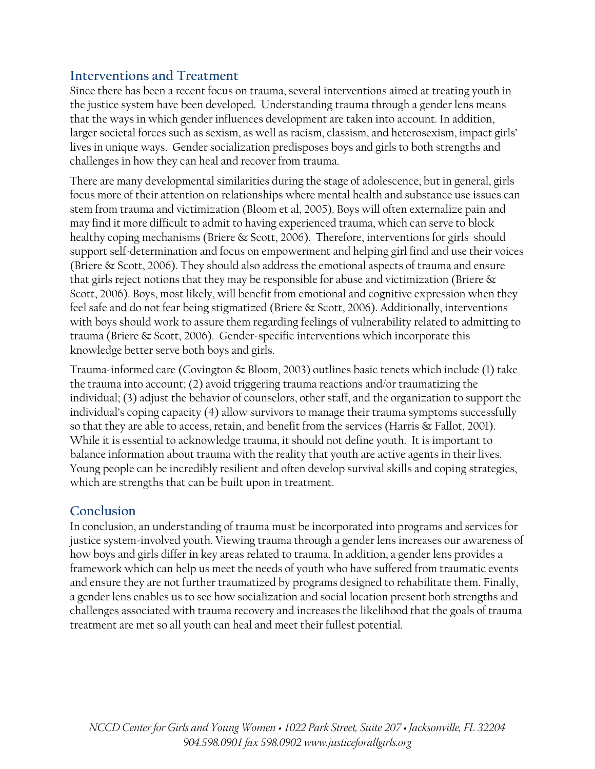## **Interventions and Treatment**

Since there has been a recent focus on trauma, several interventions aimed at treating youth in the justice system have been developed. Understanding trauma through a gender lens means that the ways in which gender influences development are taken into account. In addition, larger societal forces such as sexism, as well as racism, classism, and heterosexism, impact girls' lives in unique ways. Gender socialization predisposes boys and girls to both strengths and challenges in how they can heal and recover from trauma.

There are many developmental similarities during the stage of adolescence, but in general, girls focus more of their attention on relationships where mental health and substance use issues can stem from trauma and victimization (Bloom et al, 2005). Boys will often externalize pain and may find it more difficult to admit to having experienced trauma, which can serve to block healthy coping mechanisms (Briere & Scott, 2006). Therefore, interventions for girls should support self-determination and focus on empowerment and helping girl find and use their voices (Briere & Scott, 2006). They should also address the emotional aspects of trauma and ensure that girls reject notions that they may be responsible for abuse and victimization (Briere  $\&$ Scott, 2006). Boys, most likely, will benefit from emotional and cognitive expression when they feel safe and do not fear being stigmatized (Briere & Scott, 2006). Additionally, interventions with boys should work to assure them regarding feelings of vulnerability related to admitting to trauma (Briere & Scott, 2006). Gender-specific interventions which incorporate this knowledge better serve both boys and girls.

Trauma-informed care (Covington & Bloom, 2003) outlines basic tenets which include (1) take the trauma into account; (2) avoid triggering trauma reactions and/or traumatizing the individual; (3) adjust the behavior of counselors, other staff, and the organization to support the individual's coping capacity (4) allow survivors to manage their trauma symptoms successfully so that they are able to access, retain, and benefit from the services (Harris & Fallot, 2001). While it is essential to acknowledge trauma, it should not define youth. It is important to balance information about trauma with the reality that youth are active agents in their lives. Young people can be incredibly resilient and often develop survival skills and coping strategies, which are strengths that can be built upon in treatment.

## **Conclusion**

In conclusion, an understanding of trauma must be incorporated into programs and services for justice system-involved youth. Viewing trauma through a gender lens increases our awareness of how boys and girls differ in key areas related to trauma. In addition, a gender lens provides a framework which can help us meet the needs of youth who have suffered from traumatic events and ensure they are not further traumatized by programs designed to rehabilitate them. Finally, a gender lens enables us to see how socialization and social location present both strengths and challenges associated with trauma recovery and increases the likelihood that the goals of trauma treatment are met so all youth can heal and meet their fullest potential.